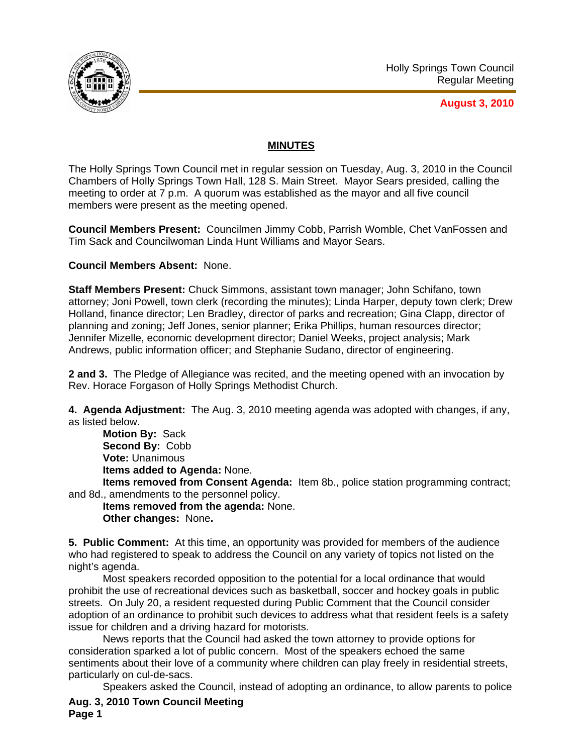

**August 3, 2010**

## **MINUTES**

The Holly Springs Town Council met in regular session on Tuesday, Aug. 3, 2010 in the Council Chambers of Holly Springs Town Hall, 128 S. Main Street. Mayor Sears presided, calling the meeting to order at 7 p.m. A quorum was established as the mayor and all five council members were present as the meeting opened.

**Council Members Present:** Councilmen Jimmy Cobb, Parrish Womble, Chet VanFossen and Tim Sack and Councilwoman Linda Hunt Williams and Mayor Sears.

**Council Members Absent:** None.

**Staff Members Present:** Chuck Simmons, assistant town manager; John Schifano, town attorney; Joni Powell, town clerk (recording the minutes); Linda Harper, deputy town clerk; Drew Holland, finance director; Len Bradley, director of parks and recreation; Gina Clapp, director of planning and zoning; Jeff Jones, senior planner; Erika Phillips, human resources director; Jennifer Mizelle, economic development director; Daniel Weeks, project analysis; Mark Andrews, public information officer; and Stephanie Sudano, director of engineering.

**2 and 3.** The Pledge of Allegiance was recited, and the meeting opened with an invocation by Rev. Horace Forgason of Holly Springs Methodist Church.

**4. Agenda Adjustment:** The Aug. 3, 2010 meeting agenda was adopted with changes, if any, as listed below.

**Motion By:** Sack **Second By:** Cobb **Vote:** Unanimous **Items added to Agenda:** None.

**Items removed from Consent Agenda:** Item 8b., police station programming contract; and 8d., amendments to the personnel policy.

**Items removed from the agenda:** None. **Other changes:** None**.** 

**5. Public Comment:** At this time, an opportunity was provided for members of the audience who had registered to speak to address the Council on any variety of topics not listed on the night's agenda.

 Most speakers recorded opposition to the potential for a local ordinance that would prohibit the use of recreational devices such as basketball, soccer and hockey goals in public streets. On July 20, a resident requested during Public Comment that the Council consider adoption of an ordinance to prohibit such devices to address what that resident feels is a safety issue for children and a driving hazard for motorists.

 News reports that the Council had asked the town attorney to provide options for consideration sparked a lot of public concern. Most of the speakers echoed the same sentiments about their love of a community where children can play freely in residential streets, particularly on cul-de-sacs.

**Aug. 3, 2010 Town Council Meeting Page 1**  Speakers asked the Council, instead of adopting an ordinance, to allow parents to police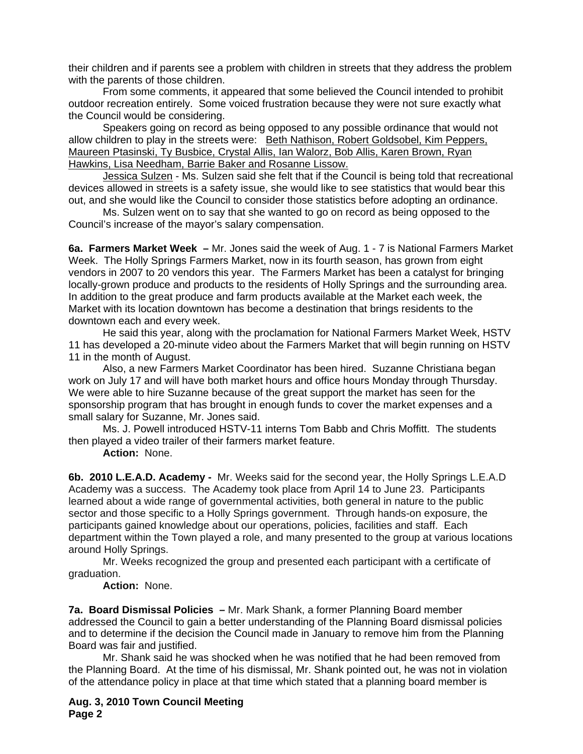their children and if parents see a problem with children in streets that they address the problem with the parents of those children.

 From some comments, it appeared that some believed the Council intended to prohibit outdoor recreation entirely. Some voiced frustration because they were not sure exactly what the Council would be considering.

 Speakers going on record as being opposed to any possible ordinance that would not allow children to play in the streets were: Beth Nathison, Robert Goldsobel, Kim Peppers, Maureen Ptasinski, Ty Busbice, Crystal Allis, Ian Walorz, Bob Allis, Karen Brown, Ryan Hawkins, Lisa Needham, Barrie Baker and Rosanne Lissow.

 Jessica Sulzen - Ms. Sulzen said she felt that if the Council is being told that recreational devices allowed in streets is a safety issue, she would like to see statistics that would bear this out, and she would like the Council to consider those statistics before adopting an ordinance.

 Ms. Sulzen went on to say that she wanted to go on record as being opposed to the Council's increase of the mayor's salary compensation.

**6a. Farmers Market Week –** Mr. Jones said the week of Aug. 1 - 7 is National Farmers Market Week. The Holly Springs Farmers Market, now in its fourth season, has grown from eight vendors in 2007 to 20 vendors this year. The Farmers Market has been a catalyst for bringing locally-grown produce and products to the residents of Holly Springs and the surrounding area. In addition to the great produce and farm products available at the Market each week, the Market with its location downtown has become a destination that brings residents to the downtown each and every week.

 He said this year, along with the proclamation for National Farmers Market Week, HSTV 11 has developed a 20-minute video about the Farmers Market that will begin running on HSTV 11 in the month of August.

 Also, a new Farmers Market Coordinator has been hired. Suzanne Christiana began work on July 17 and will have both market hours and office hours Monday through Thursday. We were able to hire Suzanne because of the great support the market has seen for the sponsorship program that has brought in enough funds to cover the market expenses and a small salary for Suzanne, Mr. Jones said.

Ms. J. Powell introduced HSTV-11 interns Tom Babb and Chris Moffitt. The students then played a video trailer of their farmers market feature.

**Action:** None.

**6b. 2010 L.E.A.D. Academy -** Mr. Weeks said for the second year, the Holly Springs L.E.A.D Academy was a success. The Academy took place from April 14 to June 23. Participants learned about a wide range of governmental activities, both general in nature to the public sector and those specific to a Holly Springs government. Through hands-on exposure, the participants gained knowledge about our operations, policies, facilities and staff. Each department within the Town played a role, and many presented to the group at various locations around Holly Springs.

Mr. Weeks recognized the group and presented each participant with a certificate of graduation.

**Action:** None.

**7a. Board Dismissal Policies –** Mr. Mark Shank, a former Planning Board member addressed the Council to gain a better understanding of the Planning Board dismissal policies and to determine if the decision the Council made in January to remove him from the Planning Board was fair and justified.

 Mr. Shank said he was shocked when he was notified that he had been removed from the Planning Board. At the time of his dismissal, Mr. Shank pointed out, he was not in violation of the attendance policy in place at that time which stated that a planning board member is

**Aug. 3, 2010 Town Council Meeting Page 2**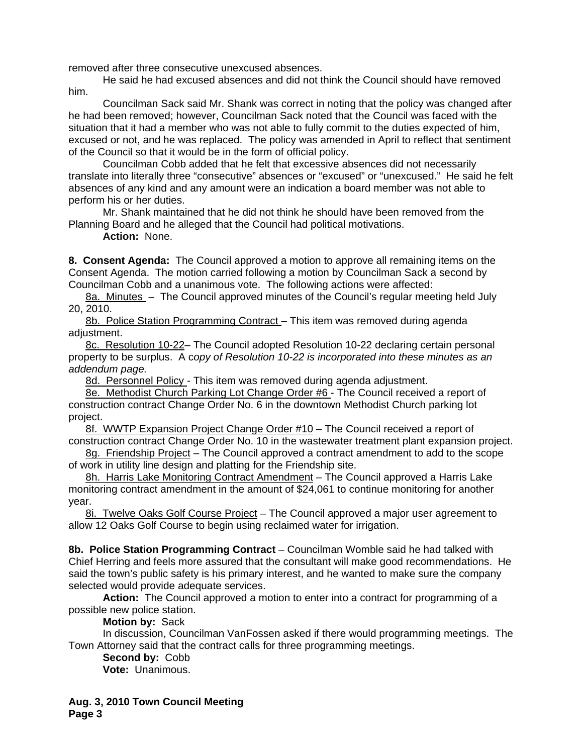removed after three consecutive unexcused absences.

 He said he had excused absences and did not think the Council should have removed him.

 Councilman Sack said Mr. Shank was correct in noting that the policy was changed after he had been removed; however, Councilman Sack noted that the Council was faced with the situation that it had a member who was not able to fully commit to the duties expected of him, excused or not, and he was replaced. The policy was amended in April to reflect that sentiment of the Council so that it would be in the form of official policy.

 Councilman Cobb added that he felt that excessive absences did not necessarily translate into literally three "consecutive" absences or "excused" or "unexcused." He said he felt absences of any kind and any amount were an indication a board member was not able to perform his or her duties.

 Mr. Shank maintained that he did not think he should have been removed from the Planning Board and he alleged that the Council had political motivations.

**Action:** None.

**8. Consent Agenda:** The Council approved a motion to approve all remaining items on the Consent Agenda. The motion carried following a motion by Councilman Sack a second by Councilman Cobb and a unanimous vote. The following actions were affected:

8a. Minutes – The Council approved minutes of the Council's regular meeting held July 20, 2010.

8b. Police Station Programming Contract – This item was removed during agenda adiustment.

8c. Resolution 10-22- The Council adopted Resolution 10-22 declaring certain personal property to be surplus. A c*opy of Resolution 10-22 is incorporated into these minutes as an addendum page.*

8d. Personnel Policy - This item was removed during agenda adjustment.

8e. Methodist Church Parking Lot Change Order #6 - The Council received a report of construction contract Change Order No. 6 in the downtown Methodist Church parking lot project.

8f. WWTP Expansion Project Change Order #10 – The Council received a report of construction contract Change Order No. 10 in the wastewater treatment plant expansion project.

8g. Friendship Project – The Council approved a contract amendment to add to the scope of work in utility line design and platting for the Friendship site.

8h. Harris Lake Monitoring Contract Amendment - The Council approved a Harris Lake monitoring contract amendment in the amount of \$24,061 to continue monitoring for another year.

8i. Twelve Oaks Golf Course Project - The Council approved a major user agreement to allow 12 Oaks Golf Course to begin using reclaimed water for irrigation.

**8b. Police Station Programming Contract** – Councilman Womble said he had talked with Chief Herring and feels more assured that the consultant will make good recommendations. He said the town's public safety is his primary interest, and he wanted to make sure the company selected would provide adequate services.

**Action:** The Council approved a motion to enter into a contract for programming of a possible new police station.

**Motion by:** Sack

 In discussion, Councilman VanFossen asked if there would programming meetings. The Town Attorney said that the contract calls for three programming meetings.

**Second by:** Cobb

**Vote:** Unanimous.

**Aug. 3, 2010 Town Council Meeting Page 3**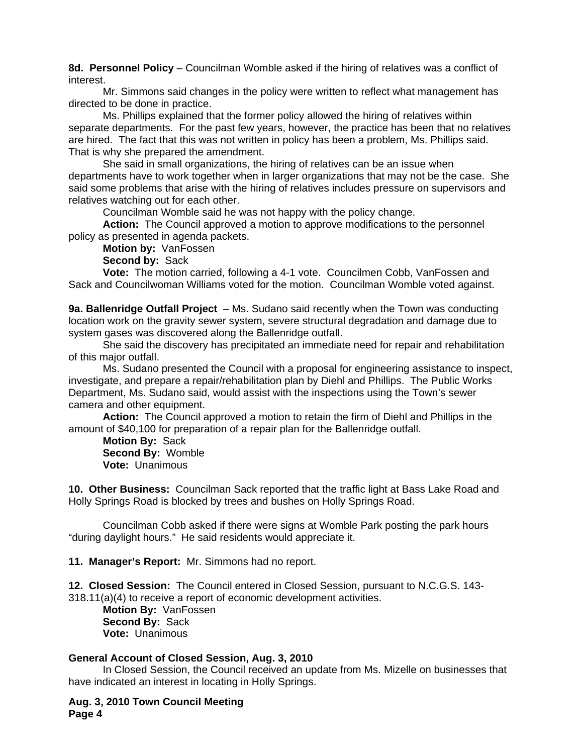**8d. Personnel Policy** – Councilman Womble asked if the hiring of relatives was a conflict of interest.

 Mr. Simmons said changes in the policy were written to reflect what management has directed to be done in practice.

 Ms. Phillips explained that the former policy allowed the hiring of relatives within separate departments. For the past few years, however, the practice has been that no relatives are hired. The fact that this was not written in policy has been a problem, Ms. Phillips said. That is why she prepared the amendment.

 She said in small organizations, the hiring of relatives can be an issue when departments have to work together when in larger organizations that may not be the case. She said some problems that arise with the hiring of relatives includes pressure on supervisors and relatives watching out for each other.

Councilman Womble said he was not happy with the policy change.

**Action:** The Council approved a motion to approve modifications to the personnel policy as presented in agenda packets.

**Motion by:** VanFossen

**Second by:** Sack

**Vote:** The motion carried, following a 4-1 vote. Councilmen Cobb, VanFossen and Sack and Councilwoman Williams voted for the motion. Councilman Womble voted against.

**9a. Ballenridge Outfall Project** – Ms. Sudano said recently when the Town was conducting location work on the gravity sewer system, severe structural degradation and damage due to system gases was discovered along the Ballenridge outfall.

 She said the discovery has precipitated an immediate need for repair and rehabilitation of this major outfall.

 Ms. Sudano presented the Council with a proposal for engineering assistance to inspect, investigate, and prepare a repair/rehabilitation plan by Diehl and Phillips. The Public Works Department, Ms. Sudano said, would assist with the inspections using the Town's sewer camera and other equipment.

**Action:** The Council approved a motion to retain the firm of Diehl and Phillips in the amount of \$40,100 for preparation of a repair plan for the Ballenridge outfall.

**Motion By:** Sack **Second By:** Womble **Vote:** Unanimous

**10. Other Business:** Councilman Sack reported that the traffic light at Bass Lake Road and Holly Springs Road is blocked by trees and bushes on Holly Springs Road.

 Councilman Cobb asked if there were signs at Womble Park posting the park hours "during daylight hours." He said residents would appreciate it.

**11. Manager's Report:** Mr. Simmons had no report.

**12. Closed Session:** The Council entered in Closed Session, pursuant to N.C.G.S. 143- 318.11(a)(4) to receive a report of economic development activities.

**Motion By:** VanFossen **Second By:** Sack **Vote:** Unanimous

## **General Account of Closed Session, Aug. 3, 2010**

 In Closed Session, the Council received an update from Ms. Mizelle on businesses that have indicated an interest in locating in Holly Springs.

**Aug. 3, 2010 Town Council Meeting Page 4**